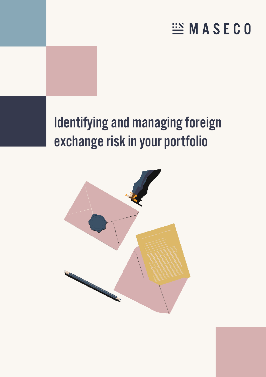# **EMASECO**

# Identifying and managing foreign exchange risk in your portfolio

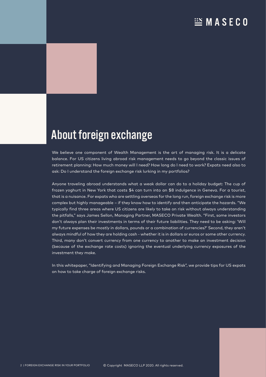### $\mathbb{H}$  MASECO

## About foreign exchange

We believe one component of Wealth Management is the art of managing risk. It is a delicate balance. For US citizens living abroad risk management needs to go beyond the classic issues of retirement planning: How much money will I need? How long do I need to work? Expats need also to ask: Do I understand the foreign exchange risk lurking in my portfolios?

Anyone traveling abroad understands what a weak dollar can do to a holiday budget: The cup of frozen yoghurt in New York that costs \$4 can turn into an \$8 indulgence in Geneva. For a tourist, that is a nuisance. For expats who are settling overseas for the long run, foreign exchange risk is more complex but highly manageable – if they know how to identify and then anticipate the hazards. "We typically find three areas where US citizens are likely to take on risk without always understanding the pitfalls," says James Sellon, Managing Partner, MASECO Private Wealth. "First, some investors don't always plan their investments in terms of their future liabilities. They need to be asking: 'Will my future expenses be mostly in dollars, pounds or a combination of currencies?' Second, they aren't always mindful of how they are holding cash - whether it is in dollars or euros or some other currency. Third, many don't convert currency from one currency to another to make an investment decision (because of the exchange rate costs) ignoring the eventual underlying currency exposures of the investment they make.

In this whitepaper, "Identifying and Managing Foreign Exchange Risk", we provide tips for US expats on how to take charge of foreign exchange risks.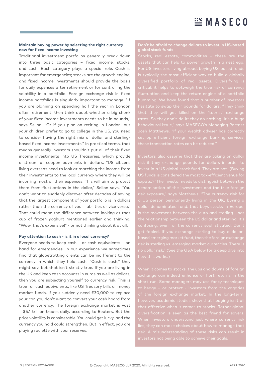#### **Maintain buying power by selecting the right currency now for fixed income investing**

Traditional investment portfolios generally break down into three basic categories – fixed income, stocks, and cash. Each category plays a special role. Cash is important for emergencies; stocks are the growth engine, and fixed income investments should provide the basis for daily expenses after retirement or for controlling the volatility in a portfolio. Foreign exchange risk in fixed income portfolios is singularly important to manage. "If you are planning on spending half the year in London after retirement, then think about whether a big chunk of your fixed income investments needs to be in pounds," says Sellon. "Or if you plan on retiring in London, but your children prefer to go to college in the US, you need to consider having the right mix of dollar and sterlingbased fixed income investments." In practical terms, that means generally investors shouldn't put all of their fixed income investments into US Treasuries, which provide a stream of coupon payments in dollars. "US citizens living overseas need to look at matching the income from their investments to the local currency where they will be incurring most of their expenses. This will aim to protect them from fluctuations in the dollar," Sellon says. "You don't want to suddenly discover after decades of saving that the largest component of your portfolio is in dollars rather than the currency of your liabilities or vice versa." That could mean the difference between looking at that cup of frozen yoghurt mentioned earlier and thinking, "Wow, that's expensive!" - or not thinking about it at all.

#### **Pay attention to cash - is it in a local currency?**

Everyone needs to keep cash – or cash equivalents – on hand for emergencies. In our experience we sometimes find that globetrotting clients can be indifferent to the currency in which they hold cash. "Cash is cash," they might say, but that isn't strictly true. If you are living in the UK and keep cash accounts in euros as well as dollars, then you are subjecting yourself to currency risk. This is true for cash equivalents, like US Treasury bills or money market funds. If you suddenly need £30,000 to replace your car, you don't want to convert your cash hoard from another currency. The foreign exchange market is vast – \$5.1 trillion trades daily. according to Reuters. But the price volatility is considerable. You could get lucky, and the currency you hold could strengthen. But in effect, you are playing roulette with your reserves.

### **Don't be afraid to change dollars to invest in US-based**

ssets that can help to power growth in a nest egg behavioural issue," says MASECO's Managing Partner set up efficient foreign exchange banking services,

risk if they exchange pounds for dollars in order to  $\overline{\mathsf{a}}$  is the movement between the euro and sterling - not confusing, even for the currency sophisticated. Don't based emerging market fund, then the foreign exchange no dollar risk." (See the Q&A below for a deep dive into

to hedge – or protect - investors from the vagaries however, academic studies show that hedging isn't all diversification is seen as the best friend for savers.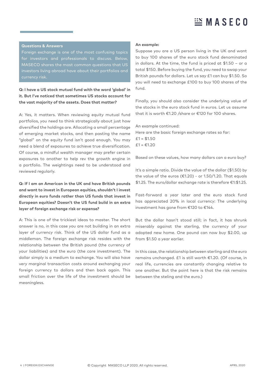## $\mathbb{E}$  MASECO

#### **Questions & Answers**

Foreign exchange is one of the most confusing topics MASECO shares the most common questions that US investors living abroad have about their portfolios and

#### **Q: I have a US stock mutual fund with the word 'global' in it. But I've noticed that sometimes US stocks account for the vast majority of the assets. Does that matter?**

A: Yes, it matters. When reviewing equity mutual fund portfolios, you need to think strategically about just how diversified the holdings are. Allocating a small percentage of emerging market stocks, and then pasting the name "global" on the equity fund isn't good enough. You may need a blend of exposures to achieve true diversification. Of course, a mindful wealth manager may prefer certain exposures to another to help rev the growth engine in a portfolio. The weightings need to be understood and reviewed regularly.

#### **Q: If I am an American in the UK and have British pounds and want to invest in European equities, shouldn't I invest directly in euro funds rather than US funds that invest in European equities? Doesn't the US fund build in an extra layer of foreign exchange risk or expense?**

A: This is one of the trickiest ideas to master. The short answer is no, in this case you are not building in an extra layer of currency risk. Think of the US dollar fund as a middleman. The foreign exchange risk resides with the relationship between the British pound (the currency of your liabilities) and the euro (the core investment). The dollar simply is a medium to exchange. You will also have very marginal transaction costs around exchanging your foreign currency to dollars and then back again. This small friction over the life of the investment should be meaningless.

#### **An example:**

Suppose you are a US person living in the UK and want to buy 100 shares of the euro stock fund denominated in dollars. At the time, the fund is priced at \$1.50 – or a total \$150. Before buying the fund, you need to swap your British pounds for dollars. Let us say £1 can buy \$1.50. So you will need to exchange £100 to buy 100 shares of the fund.

Finally, you should also consider the underlying value of the stocks in the euro stock fund in euros. Let us assume that it is worth €1.20 /share or €120 for 100 shares.

#### An example continued:

Here are the basic foreign exchange rates so far:  $£1 = $1.50$  $£1 = €1.20$ 

Based on these values, how many dollars can a euro buy?

It's a simple ratio. Divide the value of the dollar (\$1.50) by the value of the euros ( $£1.20$ ) - or 1.50/1.20. That equals \$1.25. The euro/dollar exchange rate is therefore €1:\$1.25.

Fast-forward a year later and the euro stock fund has appreciated 20% in local currency: The underlying investment has gone from €120 to €144.

But the dollar hasn't stood still; in fact, it has shrunk miserably against the sterling, the currency of your adopted new home. One pound can now buy \$2.00, up from \$1.50 a year earlier.

In this case, the relationship between sterling and the euro remains unchanged. £1 is still worth €1.20. (Of course, in real life, currencies are constantly changing relative to one another. But the point here is that the risk remains between the steling and the euro.)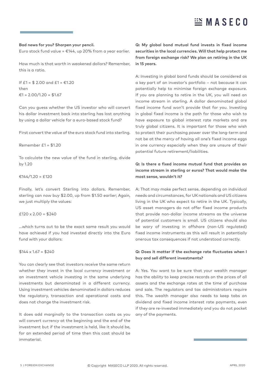## $\mathbb{E}$  MASECO

#### **Bad news for you? Sharpen your pencil.**

Euro stock fund value =  $£144$ , up 20% from a year earlier.

How much is that worth in weakened dollars? Remember, this is a ratio.

If  $f1 = $2.00$  and  $f1 = £1.20$ then €1 = 2.00/1.20 = \$1.67

Can you guess whether the US investor who will convert his dollar investment back into sterling has lost anything by using a dollar vehicle for a euro-based stock fund?

First convert the value of the euro stock fund into sterling.

```
Remember £1 = $1.20
```
To calculate the new value of the fund in sterling, divide by 1.20

#### €144/1.20 = £120

Finally, let's convert Sterling into dollars. Remember, sterling can now buy \$2.00, up from \$1.50 earlier; Again, we just multiply the values:

#### $f120 \times 2.00 = f240$

...which turns out to be the exact same result you would have achieved if you had invested directly into the Euro fund with your dollars:

#### $$144 \times 1.67 = $240$

You can clearly see that investors receive the same return whether they invest in the local currency investment or an investment vehicle investing in the same underlying investments but denominated in a different currency. Using investment vehicles denominated in dollars reduces the regulatory, transaction and operational costs and does not change the investment risk.

It does add marginally to the transaction costs as you will convert currency at the beginning and the end of the investment but if the investment is held, like it should be, for an extended period of time then this cost should be immaterial.

**Q: My global bond mutual fund invests in fixed income securities in the local currencies. Will that help protect me from foreign exchange risk? We plan on retiring in the UK in 15 years.** 

A: Investing in global bond funds should be considered as a key part of an investor's portfolio – not because it can potentially help to minimise foreign exchange exposure. If you are planning to retire in the UK, you will need an income stream in sterling. A dollar denominated global fixed income fund won't provide that for you. Investing in global fixed income is the path for those who wish to have exposure to global interest rate markets and are truly global citizens. It is important for those who wish to protect their purchasing power over the long-term and not be at the mercy of having all one's fixed income eggs in one currency especially when they are unsure of their potential future retirement/liabilities.

#### **Q: Is there a fixed income mutual fund that provides an income stream in sterling or euros? That would make the most sense, wouldn't it?**

A: That may make perfect sense, depending on individual needs and circumstances, for UK nationals and US citizens living in the UK who expect to retire in the UK. Typically, US asset managers do not offer fixed income products that provide non-dollar income streams as the universe of potential customers is small. US citizens should also be wary of investing in offshore (non-US regulated) fixed income instruments as this will result in potentially onerous tax consequences if not understood correctly.

#### **Q: Does it matter if the exchange rate fluctuates when I buy and sell different investments?**

A: Yes. You want to be sure that your wealth manager has the ability to keep precise records on the prices of all assets and the exchange rates at the time of purchase and sale. The regulators and tax administrators require this. The wealth manager also needs to keep tabs on dividend and fixed income interest rate payments, even if they are re-invested immediately and you do not pocket any of the payments.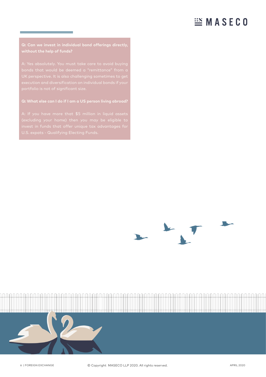### **EMASECO**

#### **Q: Can we invest in individual bond offerings directly, without the help of funds?**

#### **Q: What else can I do if I am a US person living abroad?**